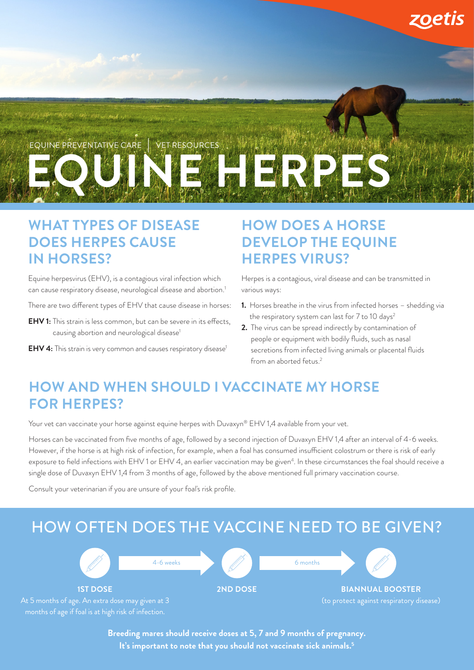

#### **WHAT TYPES OF DISEASE DOES HERPES CAUSE IN HORSES?**

Equine herpesvirus (EHV), is a contagious viral infection which can cause respiratory disease, neurological disease and abortion.1

- There are two different types of EHV that cause disease in horses:
- **EHV 1:** This strain is less common, but can be severe in its effects, causing abortion and neurological disease<sup>1</sup>
- **EHV 4:** This strain is very common and causes respiratory disease<sup>1</sup>

#### **HOW DOES A HORSE DEVELOP THE EQUINE HERPES VIRUS?**

Herpes is a contagious, viral disease and can be transmitted in various ways:

- **1.** Horses breathe in the virus from infected horses shedding via the respiratory system can last for 7 to 10 days<sup>2</sup>
- **2.** The virus can be spread indirectly by contamination of people or equipment with bodily fluids, such as nasal secretions from infected living animals or placental fluids from an aborted fetus.<sup>2</sup>

### **HOW AND WHEN SHOULD I VACCINATE MY HORSE FOR HERPES?**

Your vet can vaccinate your horse against equine herpes with Duvaxyn® EHV 1,4 available from your vet.

Horses can be vaccinated from five months of age, followed by a second injection of Duvaxyn EHV 1,4 after an interval of 4-6 weeks. However, if the horse is at high risk of infection, for example, when a foal has consumed insufficient colostrum or there is risk of early exposure to field infections with EHV 1 or EHV 4, an earlier vaccination may be given<sup>4</sup>. In these circumstances the foal should receive a single dose of Duvaxyn EHV 1,4 from 3 months of age, followed by the above mentioned full primary vaccination course.

Consult your veterinarian if you are unsure of your foal's risk profile.

## HOW OFTEN DOES THE VACCINE NEED TO BE GIVEN?



**Breeding mares should receive doses at 5, 7 and 9 months of pregnancy. It's important to note that you should not vaccinate sick animals.5**